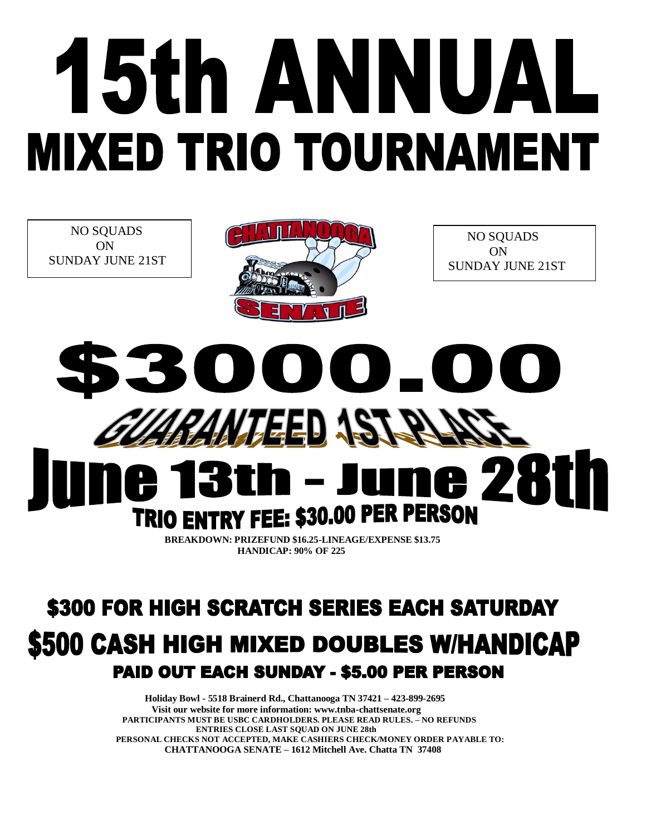## 15th ANNUAL **MIXED TRIO TOURNAMENT**

 NO SQUADS ON SUNDAY JUNE 21ST



 NO SQUADS ON SUNDAY JUNE 21ST

## $\begin{pmatrix} 1 \\ 1 \end{pmatrix}$ ARAMTEED AS ne 281 **h** – J TRIO ENTRY FEE: \$30.00 PER PERSON

 **BREAKDOWN: PRIZEFUND \$16.25-LINEAGE/EXPENSE \$13.75 HANDICAP: 90% OF 225**

## \$300 FOR HIGH SCRATCH SERIES EACH SATURDAY **\$500 CASH HIGH MIXED DOUBLES W/HANDICAP** PAID OUT EACH SUNDAY - \$5.00 PER PERSON

 **Holiday Bowl - 5518 Brainerd Rd., Chattanooga TN 37421 – 423-899-2695 Visit our website for more information: www.tnba-chattsenate.org PARTICIPANTS MUST BE USBC CARDHOLDERS. PLEASE READ RULES. – NO REFUNDS ENTRIES CLOSE LAST SQUAD ON JUNE 28th PERSONAL CHECKS NOT ACCEPTED, MAKE CASHIERS CHECK/MONEY ORDER PAYABLE TO: CHATTANOOGA SENATE – 1612 Mitchell Ave. Chatta TN 37408**